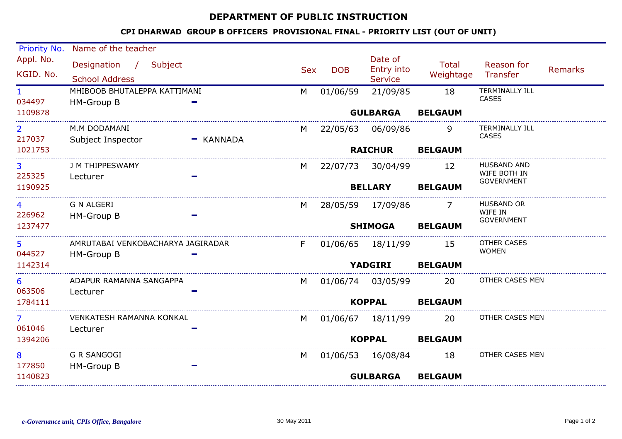## DEPARTMENT OF PUBLIC INSTRUCTION

## CPI DHARWAD GROUP B OFFICERS PROVISIONAL FINAL - PRIORITY LIST (OUT OF UNIT)

| Priority No.             | Name of the teacher                               |             |                |                   |                                         |                                     |                                       |                |  |
|--------------------------|---------------------------------------------------|-------------|----------------|-------------------|-----------------------------------------|-------------------------------------|---------------------------------------|----------------|--|
| Appl. No.<br>KGID. No.   | Designation / Subject<br><b>School Address</b>    |             | <b>Sex</b>     | <b>DOB</b>        | Date of<br>Entry into<br><b>Service</b> | <b>Total</b><br>Weightage           | Reason for<br>Transfer                | <b>Remarks</b> |  |
| $\mathbf{1}$<br>034497   | MHIBOOB BHUTALEPPA KATTIMANI<br><b>HM-Group B</b> |             | M              | 01/06/59          | 21/09/85                                | 18                                  | <b>TERMINALLY ILL</b><br><b>CASES</b> |                |  |
| 1109878                  |                                                   |             |                |                   | <b>GULBARGA</b>                         | <b>BELGAUM</b>                      |                                       |                |  |
| $\mathbf{2}$<br>217037   | M.M DODAMANI<br>Subject Inspector                 | $-$ KANNADA | M              | 22/05/63          | 06/09/86                                | 9                                   | <b>TERMINALLY ILL</b><br><b>CASES</b> |                |  |
| 1021753                  |                                                   |             |                | <b>RAICHUR</b>    |                                         | <b>BELGAUM</b>                      |                                       |                |  |
| 3<br>225325              | J M THIPPESWAMY<br>Lecturer                       |             | M              | 22/07/73 30/04/99 |                                         | 12                                  | HUSBAND AND<br>WIFE BOTH IN           |                |  |
| 1190925                  |                                                   |             |                | <b>BELLARY</b>    |                                         | <b>GOVERNMENT</b><br><b>BELGAUM</b> |                                       |                |  |
| 4<br>226962              | <b>G N ALGERI</b><br>HM-Group B                   |             | M              | 28/05/59 17/09/86 |                                         | $\prime$                            | HUSBAND OR<br>WIFE IN                 |                |  |
| 1237477                  |                                                   |             | <b>SHIMOGA</b> |                   | <b>GOVERNMENT</b><br><b>BELGAUM</b>     |                                     |                                       |                |  |
| 5.<br>044527             | AMRUTABAI VENKOBACHARYA JAGIRADAR<br>HM-Group B   |             | F              | 01/06/65 18/11/99 |                                         | 15                                  | OTHER CASES<br><b>WOMEN</b>           |                |  |
| 1142314                  |                                                   |             |                |                   | <b>YADGIRI</b>                          | <b>BELGAUM</b>                      |                                       |                |  |
| 6<br>063506              | ADAPUR RAMANNA SANGAPPA<br>Lecturer               |             | M              | 01/06/74 03/05/99 |                                         | 20                                  | OTHER CASES MEN                       |                |  |
| 1784111                  |                                                   |             | <b>KOPPAL</b>  |                   |                                         | <b>BELGAUM</b>                      |                                       |                |  |
| $\overline{7}$<br>061046 | VENKATESH RAMANNA KONKAL<br>Lecturer              |             | M              | 01/06/67 18/11/99 |                                         | 20                                  | OTHER CASES MEN                       |                |  |
| 1394206                  |                                                   |             |                | <b>KOPPAL</b>     |                                         | <b>BELGAUM</b>                      |                                       |                |  |
| 8<br>177850              | <b>G R SANGOGI</b><br>HM-Group B                  |             | M              |                   | 01/06/53 16/08/84                       | 18                                  | OTHER CASES MEN                       |                |  |
| 1140823                  |                                                   |             |                | <b>GULBARGA</b>   | <b>BELGAUM</b>                          |                                     |                                       |                |  |